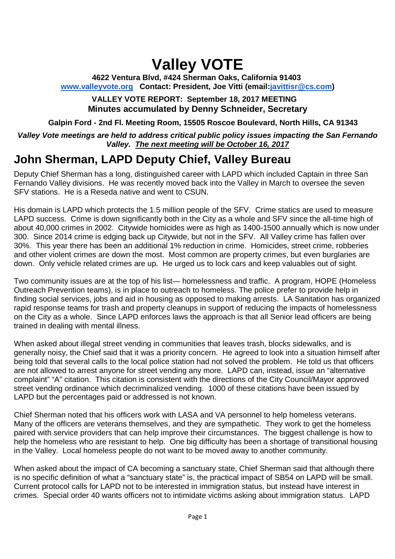# **Valley VOTE**

**4622 Ventura Blvd, #424 Sherman Oaks, California 91403 www.valleyvote.org Contact: President, Joe Vitti (email:javittisr@cs.com)**

**VALLEY VOTE REPORT: September 18, 2017 MEETING Minutes accumulated by Denny Schneider, Secretary**

**Galpin Ford - 2nd Fl. Meeting Room, 15505 Roscoe Boulevard, North Hills, CA 91343**

*Valley Vote meetings are held to address critical public policy issues impacting the San Fernando Valley. The next meeting will be October 16, 2017*

## **John Sherman, LAPD Deputy Chief, Valley Bureau**

Deputy Chief Sherman has a long, distinguished career with LAPD which included Captain in three San Fernando Valley divisions. He was recently moved back into the Valley in March to oversee the seven SFV stations. He is a Reseda native and went to CSUN.

His domain is LAPD which protects the 1.5 million people of the SFV. Crime statics are used to measure LAPD success. Crime is down significantly both in the City as a whole and SFV since the all-time high of about 40,000 crimes in 2002. Citywide homicides were as high as 1400-1500 annually which is now under 300. Since 2014 crime is edging back up Citywide, but not in the SFV. All Valley crime has fallen over 30%. This year there has been an additional 1% reduction in crime. Homicides, street crime, robberies and other violent crimes are down the most. Most common are property crimes, but even burglaries are down. Only vehicle related crimes are up. He urged us to lock cars and keep valuables out of sight.

Two community issues are at the top of his list— homelessness and traffic. A program, HOPE (Homeless Outreach Prevention teams), is in place to outreach to homeless. The police prefer to provide help in finding social services, jobs and aid in housing as opposed to making arrests. LA Sanitation has organized rapid response teams for trash and property cleanups in support of reducing the impacts of homelessness on the City as a whole. Since LAPD enforces laws the approach is that all Senior lead officers are being trained in dealing with mental illness.

When asked about illegal street vending in communities that leaves trash, blocks sidewalks, and is generally noisy, the Chief said that it was a priority concern. He agreed to look into a situation himself after being told that several calls to the local police station had not solved the problem. He told us that officers are not allowed to arrest anyone for street vending any more. LAPD can, instead, issue an "alternative complaint" "A" citation. This citation is consistent with the directions of the City Council/Mayor approved street vending ordinance which decriminalized vending. 1000 of these citations have been issued by LAPD but the percentages paid or addressed is not known.

Chief Sherman noted that his officers work with LASA and VA personnel to help homeless veterans. Many of the officers are veterans themselves, and they are sympathetic. They work to get the homeless paired with service providers that can help improve their circumstances. The biggest challenge is how to help the homeless who are resistant to help. One big difficulty has been a shortage of transitional housing in the Valley. Local homeless people do not want to be moved away to another community.

When asked about the impact of CA becoming a sanctuary state, Chief Sherman said that although there is no specific definition of what a "sanctuary state" is, the practical impact of SB54 on LAPD will be small. Current protocol calls for LAPD not to be interested in immigration status, but instead have interest in crimes. Special order 40 wants officers not to intimidate victims asking about immigration status. LAPD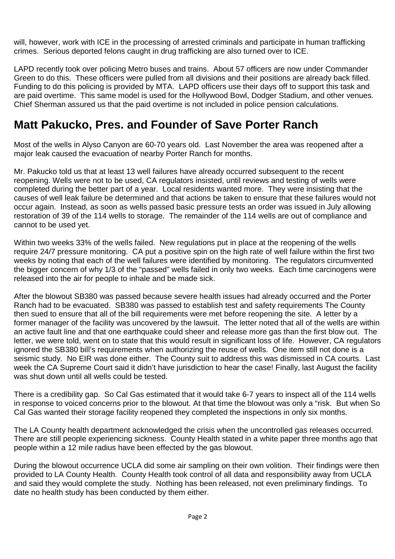will, however, work with ICE in the processing of arrested criminals and participate in human trafficking crimes. Serious deported felons caught in drug trafficking are also turned over to ICE.

LAPD recently took over policing Metro buses and trains. About 57 officers are now under Commander Green to do this. These officers were pulled from all divisions and their positions are already back filled. Funding to do this policing is provided by MTA. LAPD officers use their days off to support this task and are paid overtime. This same model is used for the Hollywood Bowl, Dodger Stadium, and other venues. Chief Sherman assured us that the paid overtime is not included in police pension calculations.

## **Matt Pakucko, Pres. and Founder of Save Porter Ranch**

Most of the wells in Alyso Canyon are 60-70 years old. Last November the area was reopened after a major leak caused the evacuation of nearby Porter Ranch for months.

Mr. Pakucko told us that at least 13 well failures have already occurred subsequent to the recent reopening. Wells were not to be used, CA regulators insisted, until reviews and testing of wells were completed during the better part of a year. Local residents wanted more. They were insisting that the causes of well leak failure be determined and that actions be taken to ensure that these failures would not occur again. Instead, as soon as wells passed basic pressure tests an order was issued in July allowing restoration of 39 of the 114 wells to storage. The remainder of the 114 wells are out of compliance and cannot to be used yet.

Within two weeks 33% of the wells failed. New regulations put in place at the reopening of the wells require 24/7 pressure monitoring. CA put a positive spin on the high rate of well failure within the first two weeks by noting that each of the well failures were identified by monitoring. The regulators circumvented the bigger concern of why 1/3 of the "passed" wells failed in only two weeks. Each time carcinogens were released into the air for people to inhale and be made sick.

After the blowout SB380 was passed because severe health issues had already occurred and the Porter Ranch had to be evacuated. SB380 was passed to establish test and safety requirements The County then sued to ensure that all of the bill requirements were met before reopening the site. A letter by a former manager of the facility was uncovered by the lawsuit. The letter noted that all of the wells are within an active fault line and that one earthquake could sheer and release more gas than the first blow out. The letter, we were told, went on to state that this would result in significant loss of life. However, CA regulators ignored the SB380 bill's requirements when authorizing the reuse of wells. One item still not done is a seismic study. No EIR was done either. The County suit to address this was dismissed in CA courts. Last week the CA Supreme Court said it didn't have jurisdiction to hear the case! Finally, last August the facility was shut down until all wells could be tested.

There is a credibility gap. So Cal Gas estimated that it would take 6-7 years to inspect all of the 114 wells in response to voiced concerns prior to the blowout. At that time the blowout was only a "risk. But when So Cal Gas wanted their storage facility reopened they completed the inspections in only six months.

The LA County health department acknowledged the crisis when the uncontrolled gas releases occurred. There are still people experiencing sickness. County Health stated in a white paper three months ago that people within a 12 mile radius have been effected by the gas blowout.

During the blowout occurrence UCLA did some air sampling on their own volition. Their findings were then provided to LA County Health. County Health took control of all data and responsibility away from UCLA and said they would complete the study. Nothing has been released, not even preliminary findings. To date no health study has been conducted by them either.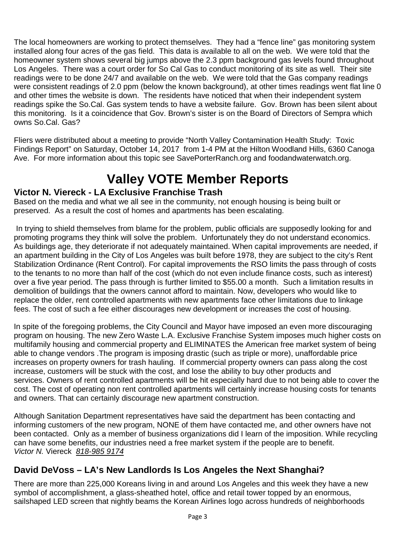The local homeowners are working to protect themselves. They had a "fence line" gas monitoring system installed along four acres of the gas field. This data is available to all on the web. We were told that the homeowner system shows several big jumps above the 2.3 ppm background gas levels found throughout Los Angeles. There was a court order for So Cal Gas to conduct monitoring of its site as well. Their site readings were to be done 24/7 and available on the web. We were told that the Gas company readings were consistent readings of 2.0 ppm (below the known background), at other times readings went flat line 0 and other times the website is down. The residents have noticed that when their independent system readings spike the So.Cal. Gas system tends to have a website failure. Gov. Brown has been silent about this monitoring. Is it a coincidence that Gov. Brown's sister is on the Board of Directors of Sempra which owns So.Cal. Gas?

Fliers were distributed about a meeting to provide "North Valley Contamination Health Study: Toxic Findings Report" on Saturday, October 14, 2017 from 1-4 PM at the Hilton Woodland Hills, 6360 Canoga Ave. For more information about this topic see SavePorterRanch.org and foodandwaterwatch.org.

## **Valley VOTE Member Reports**

#### **Victor N. Viereck - LA Exclusive Franchise Trash**

Based on the media and what we all see in the community, not enough housing is being built or preserved. As a result the cost of homes and apartments has been escalating.

In trying to shield themselves from blame for the problem, public officials are supposedly looking for and promoting programs they think will solve the problem. Unfortunately they do not understand economics. As buildings age, they deteriorate if not adequately maintained. When capital improvements are needed, if an apartment building in the City of Los Angeles was built before 1978, they are subject to the city's Rent Stabilization Ordinance (Rent Control). For capital improvements the RSO limits the pass through of costs to the tenants to no more than half of the cost (which do not even include finance costs, such as interest) over a five year period. The pass through is further limited to \$55.00 a month. Such a limitation results in demolition of buildings that the owners cannot afford to maintain. Now, developers who would like to replace the older, rent controlled apartments with new apartments face other limitations due to linkage fees. The cost of such a fee either discourages new development or increases the cost of housing.

In spite of the foregoing problems, the City Council and Mayor have imposed an even more discouraging program on housing. The new Zero Waste L.A. Exclusive Franchise System imposes much higher costs on multifamily housing and commercial property and ELIMINATES the American free market system of being able to change vendors .The program is imposing drastic (such as triple or more), unaffordable price increases on property owners for trash hauling. If commercial property owners can pass along the cost increase, customers will be stuck with the cost, and lose the ability to buy other products and services. Owners of rent controlled apartments will be hit especially hard due to not being able to cover the cost. The cost of operating non rent controlled apartments will certainly increase housing costs for tenants and owners. That can certainly discourage new apartment construction.

Although Sanitation Department representatives have said the department has been contacting and informing customers of the new program, NONE of them have contacted me, and other owners have not been contacted. Only as a member of business organizations did I learn of the imposition. While recycling can have some benefits, our industries need a free market system if the people are to benefit. *Victor N.* Viereck *818-985 9174*

#### **David DeVoss – LA's New Landlords Is Los Angeles the Next Shanghai?**

There are more than 225,000 Koreans living in and around Los Angeles and this week they have a new symbol of accomplishment, a glass-sheathed hotel, office and retail tower topped by an enormous, sailshaped LED screen that nightly beams the Korean Airlines logo across hundreds of neighborhoods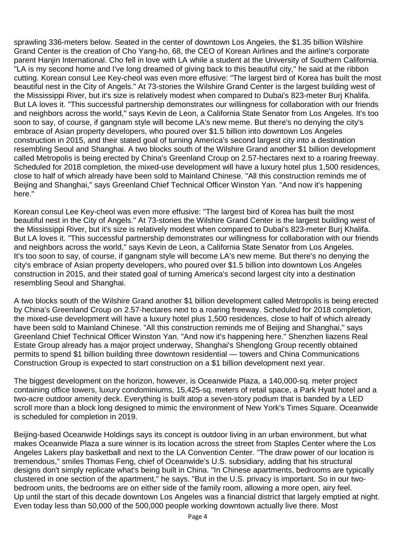sprawling 336-meters below. Seated in the center of downtown Los Angeles, the \$1.35 billion Wilshire Grand Center is the creation of Cho Yang-ho, 68, the CEO of Korean Airlines and the airline's corporate parent Hanjin International. Cho fell in love with LA while a student at the University of Southern California. "LA is my second home and I've long dreamed of giving back to this beautiful city," he said at the ribbon cutting. Korean consul Lee Key-cheol was even more effusive: "The largest bird of Korea has built the most beautiful nest in the City of Angels." At 73-stories the Wilshire Grand Center is the largest building west of the Mississippi River, but it's size is relatively modest when compared to Dubai's 823-meter Burj Khalifa. But LA loves it. "This successful partnership demonstrates our willingness for collaboration with our friends and neighbors across the world," says Kevin de Leon, a California State Senator from Los Angeles. It's too soon to say, of course, if gangnam style will become LA's new meme. But there's no denying the city's embrace of Asian property developers, who poured over \$1.5 billion into downtown Los Angeles construction in 2015, and their stated goal of turning America's second largest city into a destination resembling Seoul and Shanghai. A two blocks south of the Wilshire Grand another \$1 billion development called Metropolis is being erected by China's Greenland Croup on 2.57-hectares next to a roaring freeway. Scheduled for 2018 completion, the mixed-use development will have a luxury hotel plus 1,500 residences, close to half of which already have been sold to Mainland Chinese. "All this construction reminds me of Beijing and Shanghai," says Greenland Chief Technical Officer Winston Yan. "And now it's happening here."

Korean consul Lee Key-cheol was even more effusive: "The largest bird of Korea has built the most beautiful nest in the City of Angels." At 73-stories the Wilshire Grand Center is the largest building west of the Mississippi River, but it's size is relatively modest when compared to Dubai's 823-meter Burj Khalifa. But LA loves it. "This successful partnership demonstrates our willingness for collaboration with our friends and neighbors across the world," says Kevin de Leon, a California State Senator from Los Angeles. It's too soon to say, of course, if gangnam style will become LA's new meme. But there's no denying the city's embrace of Asian property developers, who poured over \$1.5 billion into downtown Los Angeles construction in 2015, and their stated goal of turning America's second largest city into a destination resembling Seoul and Shanghai.

A two blocks south of the Wilshire Grand another \$1 billion development called Metropolis is being erected by China's Greenland Croup on 2.57-hectares next to a roaring freeway. Scheduled for 2018 completion, the mixed-use development will have a luxury hotel plus 1,500 residences, close to half of which already have been sold to Mainland Chinese. "All this construction reminds me of Beijing and Shanghai," says Greenland Chief Technical Officer Winston Yan. "And now it's happening here." Shenzhen liazens Real Estate Group already has a major project underway, Shanghai's Shenglong Group recently obtained permits to spend \$1 billion building three downtown residential — towers and China Communications Construction Group is expected to start construction on a \$1 billion development next year.

The biggest development on the horizon, however, is Oceanwide Plaza, a 140,000-sq. meter project containing office towers, luxury condominiums, 15,425-sq. meters of retail space, a Park Hyatt hotel and a two-acre outdoor amenity deck. Everything is built atop a seven-story podium that is banded by a LED scroll more than a block long designed to mimic the environment of New York's Times Square. Oceanwide is scheduled for completion in 2019.

Beijing-based Oceanwide Holdings says its concept is outdoor living in an urban environment, but what makes Oceanwide Plaza a sure winner is its location across the street from Staples Center where the Los Angeles Lakers play basketball and next to the LA Convention Center. "The draw power of our location is tremendous," smiles Thomas Feng, chief of Oceanwide's U.S. subsidiary, adding that his structural designs don't simply replicate what's being built in China. "In Chinese apartments, bedrooms are typically clustered in one section of the apartment," he says. "But in the U.S. privacy is important. So in our twobedroom units, the bedrooms are on either side of the family room, allowing a more open, airy feel. Up until the start of this decade downtown Los Angeles was a financial district that largely emptied at night. Even today less than 50,000 of the 500,000 people working downtown actually live there. Most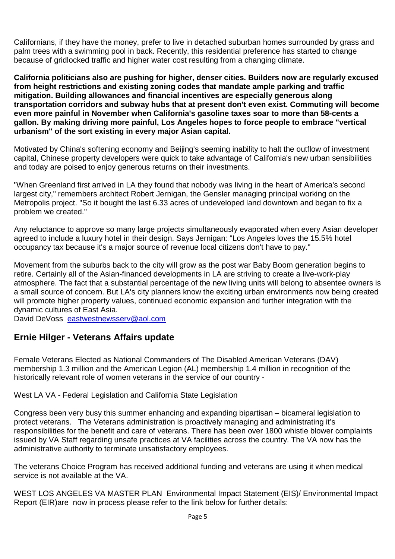Californians, if they have the money, prefer to live in detached suburban homes surrounded by grass and palm trees with a swimming pool in back. Recently, this residential preference has started to change because of gridlocked traffic and higher water cost resulting from a changing climate.

**California politicians also are pushing for higher, denser cities. Builders now are regularly excused from height restrictions and existing zoning codes that mandate ample parking and traffic mitigation. Building allowances and financial incentives are especially generous along transportation corridors and subway hubs that at present don't even exist. Commuting will become even more painful in November when California's gasoline taxes soar to more than 58-cents a gallon. By making driving more painful, Los Angeles hopes to force people to embrace "vertical urbanism" of the sort existing in every major Asian capital.**

Motivated by China's softening economy and Beijing's seeming inability to halt the outflow of investment capital, Chinese property developers were quick to take advantage of California's new urban sensibilities and today are poised to enjoy generous returns on their investments.

"When Greenland first arrived in LA they found that nobody was living in the heart of America's second largest city," remembers architect Robert Jernigan, the Gensler managing principal working on the Metropolis project. "So it bought the last 6.33 acres of undeveloped land downtown and began to fix a problem we created."

Any reluctance to approve so many large projects simultaneously evaporated when every Asian developer agreed to include a luxury hotel in their design. Says Jernigan: "Los Angeles loves the 15.5% hotel occupancy tax because it's a major source of revenue local citizens don't have to pay."

Movement from the suburbs back to the city will grow as the post war Baby Boom generation begins to retire. Certainly all of the Asian-financed developments in LA are striving to create a live-work-play atmosphere. The fact that a substantial percentage of the new living units will belong to absentee owners is a small source of concern. But LA's city planners know the exciting urban environments now being created will promote higher property values, continued economic expansion and further integration with the dynamic cultures of East Asia.

David DeVoss eastwestnewsserv@aol.com

#### **Ernie Hilger - Veterans Affairs update**

Female Veterans Elected as National Commanders of The Disabled American Veterans (DAV) membership 1.3 million and the American Legion (AL) membership 1.4 million in recognition of the historically relevant role of women veterans in the service of our country -

West LA VA - Federal Legislation and California State Legislation

Congress been very busy this summer enhancing and expanding bipartisan – bicameral legislation to protect veterans. The Veterans administration is proactively managing and administrating it's responsibilities for the benefit and care of veterans. There has been over 1800 whistle blower complaints issued by VA Staff regarding unsafe practices at VA facilities across the country. The VA now has the administrative authority to terminate unsatisfactory employees.

The veterans Choice Program has received additional funding and veterans are using it when medical service is not available at the VA.

WEST LOS ANGELES VA MASTER PLAN Environmental Impact Statement (EIS)/ Environmental Impact Report (EIR)are now in process please refer to the link below for further details: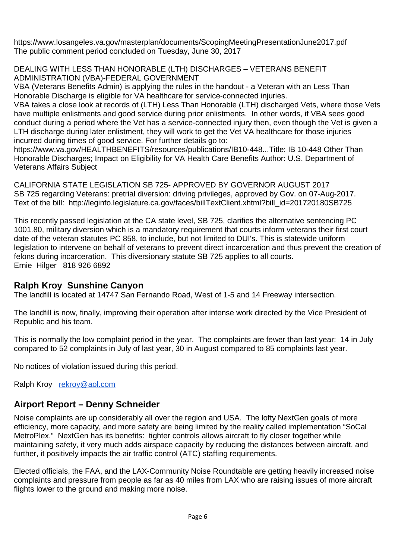https://www.losangeles.va.gov/masterplan/documents/ScopingMeetingPresentationJune2017.pdf The public comment period concluded on Tuesday, June 30, 2017

DEALING WITH LESS THAN HONORABLE (LTH) DISCHARGES – VETERANS BENEFIT ADMINISTRATION (VBA)-FEDERAL GOVERNMENT

VBA (Veterans Benefits Admin) is applying the rules in the handout - a Veteran with an Less Than Honorable Discharge is eligible for VA healthcare for service-connected injuries.

VBA takes a close look at records of (LTH) Less Than Honorable (LTH) discharged Vets, where those Vets have multiple enlistments and good service during prior enlistments. In other words, if VBA sees good conduct during a period where the Vet has a service-connected injury then, even though the Vet is given a LTH discharge during later enlistment, they will work to get the Vet VA healthcare for those injuries incurred during times of good service. For further details go to:

https://www.va.gov/HEALTHBENEFITS/resources/publications/IB10-448...Title: IB 10-448 Other Than Honorable Discharges; Impact on Eligibility for VA Health Care Benefits Author: U.S. Department of Veterans Affairs Subject

CALIFORNIA STATE LEGISLATION SB 725- APPROVED BY GOVERNOR AUGUST 2017 SB 725 regarding Veterans: pretrial diversion: driving privileges, approved by Gov. on 07-Aug-2017. Text of the bill: http://leginfo.legislature.ca.gov/faces/billTextClient.xhtml?bill\_id=201720180SB725

This recently passed legislation at the CA state level, SB 725, clarifies the alternative sentencing PC 1001.80, military diversion which is a mandatory requirement that courts inform veterans their first court date of the veteran statutes PC 858, to include, but not limited to DUI's. This is statewide uniform legislation to intervene on behalf of veterans to prevent direct incarceration and thus prevent the creation of felons during incarceration. This diversionary statute SB 725 applies to all courts. Ernie Hilger 818 926 6892

#### **Ralph Kroy Sunshine Canyon**

The landfill is located at 14747 San Fernando Road, West of 1-5 and 14 Freeway intersection.

The landfill is now, finally, improving their operation after intense work directed by the Vice President of Republic and his team.

This is normally the low complaint period in the year. The complaints are fewer than last year: 14 in July compared to 52 complaints in July of last year, 30 in August compared to 85 complaints last year.

No notices of violation issued during this period.

Ralph Kroy rekroy@aol.com

#### **Airport Report – Denny Schneider**

Noise complaints are up considerably all over the region and USA. The lofty NextGen goals of more efficiency, more capacity, and more safety are being limited by the reality called implementation "SoCal MetroPlex." NextGen has its benefits: tighter controls allows aircraft to fly closer together while maintaining safety, it very much adds airspace capacity by reducing the distances between aircraft, and further, it positively impacts the air traffic control (ATC) staffing requirements.

Elected officials, the FAA, and the LAX-Community Noise Roundtable are getting heavily increased noise complaints and pressure from people as far as 40 miles from LAX who are raising issues of more aircraft flights lower to the ground and making more noise.